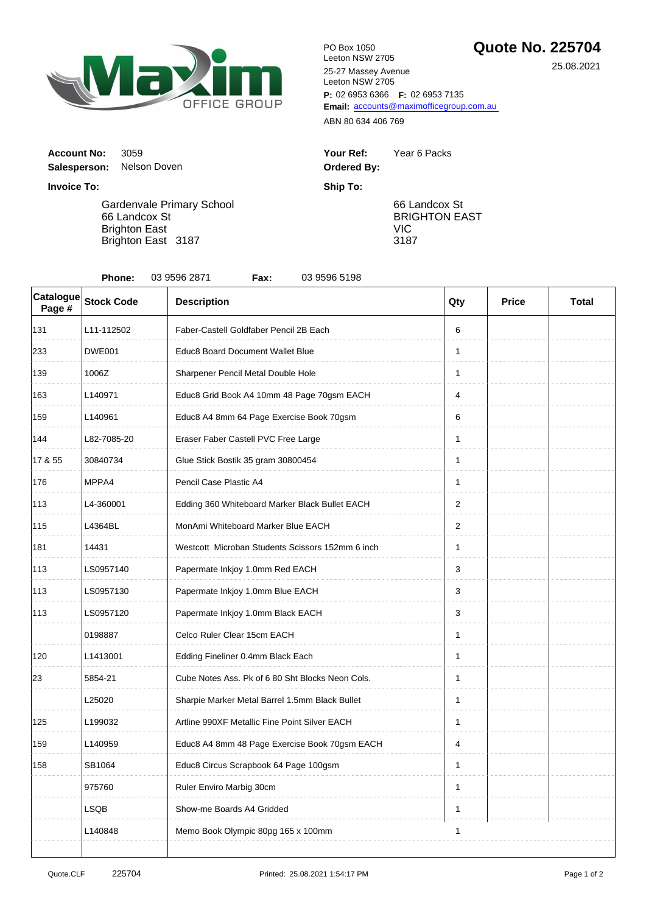

**P:** 02 6953 6366 **F:** 02 6953 7135 Email: [accou](mailto:accounts@maximofficegroup.com.au)nts@maximofficegroup.com.au PO Box 1050 Leeton NSW 2705 25-27 Massey Avenue Leeton NSW 2705

ABN 80 634 406 769

| Your Ref:   | Year 6 Packs |
|-------------|--------------|
| Ordered By: |              |

66 Landcox St BRIGHTON EAST VIC 3187

**Invoice To: Ship To:** Gardenvale Primary School 66 Landcox St

**Account No: 3059** 

**Salesperson:** Nelson Doven

Brighton East Brighton East 3187

| 03 9596 2871<br>03 9596 5198<br>Phone:<br>Fax: |                   |                                                  |              |              |              |  |  |  |
|------------------------------------------------|-------------------|--------------------------------------------------|--------------|--------------|--------------|--|--|--|
| Catalogue<br>Page #                            | <b>Stock Code</b> | <b>Description</b>                               | Qty          | <b>Price</b> | <b>Total</b> |  |  |  |
| 131                                            | L11-112502        | Faber-Castell Goldfaber Pencil 2B Each           | 6            |              |              |  |  |  |
| 233                                            | <b>DWE001</b>     | Educ8 Board Document Wallet Blue                 | 1            |              |              |  |  |  |
| 139                                            | 1006Z             | Sharpener Pencil Metal Double Hole               | 1            |              |              |  |  |  |
| 163                                            | L140971           | Educ8 Grid Book A4 10mm 48 Page 70gsm EACH       | 4            |              |              |  |  |  |
| 159                                            | L140961           | Educ8 A4 8mm 64 Page Exercise Book 70gsm         | 6            |              |              |  |  |  |
| 144                                            | L82-7085-20       | Eraser Faber Castell PVC Free Large              | $\mathbf{1}$ |              |              |  |  |  |
| 17 & 55                                        | 30840734          | Glue Stick Bostik 35 gram 30800454               | 1            |              |              |  |  |  |
| 176                                            | MPPA4             | Pencil Case Plastic A4                           | 1            |              |              |  |  |  |
| 113                                            | L4-360001         | Edding 360 Whiteboard Marker Black Bullet EACH   | 2            |              |              |  |  |  |
| 115                                            | L4364BL           | MonAmi Whiteboard Marker Blue EACH               | 2            |              |              |  |  |  |
| 181                                            | 14431             | Westcott Microban Students Scissors 152mm 6 inch | 1            |              |              |  |  |  |
| 113                                            | LS0957140         | Papermate Inkjoy 1.0mm Red EACH                  | 3            |              |              |  |  |  |
| 113                                            | LS0957130         | Papermate Inkjoy 1.0mm Blue EACH                 | 3            |              |              |  |  |  |
| 113                                            | LS0957120         | Papermate Inkjoy 1.0mm Black EACH                | 3            |              |              |  |  |  |
|                                                | 0198887           | Celco Ruler Clear 15cm EACH                      | 1            |              |              |  |  |  |
| 120                                            | L1413001          | Edding Fineliner 0.4mm Black Each                | 1            |              |              |  |  |  |
| 23                                             | 5854-21           | Cube Notes Ass. Pk of 6 80 Sht Blocks Neon Cols. | 1            |              |              |  |  |  |
|                                                | L25020            | Sharpie Marker Metal Barrel 1.5mm Black Bullet   | 1            |              |              |  |  |  |
| 125                                            | L199032           | Artline 990XF Metallic Fine Point Silver EACH    | $\mathbf{1}$ |              |              |  |  |  |
| 159                                            | L140959           | Educ8 A4 8mm 48 Page Exercise Book 70gsm EACH    | 4            |              |              |  |  |  |
| 158                                            | SB1064            | Educ8 Circus Scrapbook 64 Page 100gsm            | 1            |              |              |  |  |  |
|                                                | 975760            | Ruler Enviro Marbig 30cm                         | 1            |              |              |  |  |  |
|                                                | LSQB              | Show-me Boards A4 Gridded                        | 1            |              |              |  |  |  |
|                                                | L140848           | Memo Book Olympic 80pg 165 x 100mm               | 1            |              |              |  |  |  |

25.08.2021